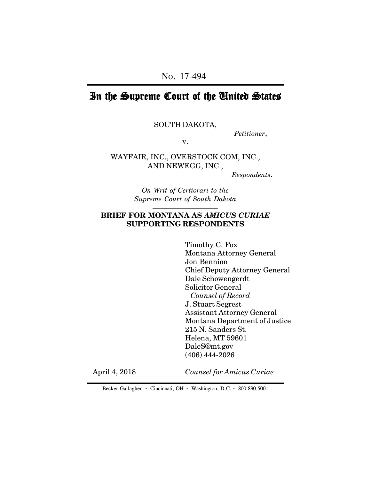# In the Supreme Court of the United States

SOUTH DAKOTA,

*Petitioner*,

v.

WAYFAIR, INC., OVERSTOCK.COM, INC., AND NEWEGG, INC.,

 *Respondents*.

*On Writ of Certiorari to the Supreme Court of South Dakota*

# **BRIEF FOR MONTANA AS** *AMICUS CURIAE* **SUPPORTING RESPONDENTS**

Timothy C. Fox Montana Attorney General Jon Bennion Chief Deputy Attorney General Dale Schowengerdt Solicitor General *Counsel of Record* J. Stuart Segrest Assistant Attorney General Montana Department of Justice 215 N. Sanders St. Helena, MT 59601 DaleS@mt.gov (406) 444-2026

April 4, 2018

*Counsel for Amicus Curiae*

Becker Gallagher **·** Cincinnati, OH **·** Washington, D.C. **·** 800.890.5001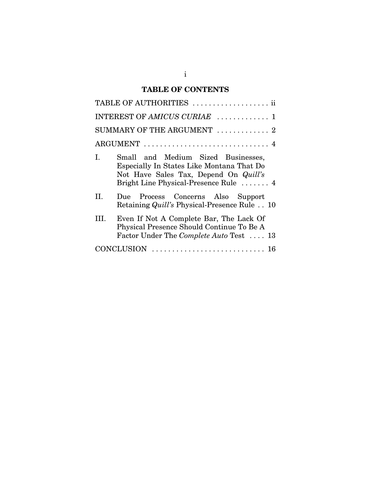# **TABLE OF CONTENTS**

| TABLE OF AUTHORITIES  ii                                                                                                                                                |
|-------------------------------------------------------------------------------------------------------------------------------------------------------------------------|
| INTEREST OF AMICUS CURIAE  1                                                                                                                                            |
| SUMMARY OF THE ARGUMENT  2                                                                                                                                              |
|                                                                                                                                                                         |
| Small and Medium Sized Businesses,<br>L.<br>Especially In States Like Montana That Do<br>Not Have Sales Tax, Depend On Quill's<br>Bright Line Physical-Presence Rule  4 |
| H.<br>Due Process Concerns Also Support<br>Retaining <i>Quill's</i> Physical-Presence Rule 10                                                                           |
| Even If Not A Complete Bar, The Lack Of<br>HI.<br>Physical Presence Should Continue To Be A<br>Factor Under The Complete Auto Test  13                                  |
|                                                                                                                                                                         |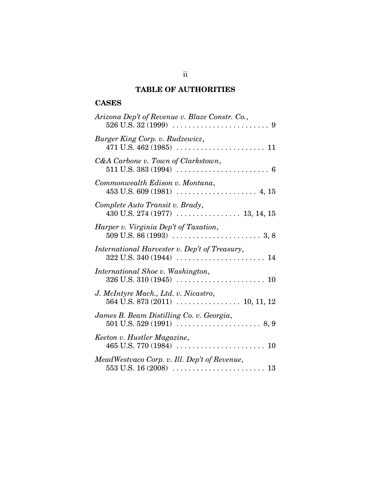# **TABLE OF AUTHORITIES**

# **CASES**

| Arizona Dep't of Revenue v. Blaze Constr. Co., |
|------------------------------------------------|
| Burger King Corp. v. Rudzewicz,                |
| C&A Carbone v. Town of Clarkstown,             |
| Commonwealth Edison v. Montana,                |
| Complete Auto Transit v. Brady,                |
| Harper v. Virginia Dep't of Taxation,          |
| International Harvester v. Dep't of Treasury,  |
| International Shoe v. Washington,              |
| J. McIntyre Mach., Ltd. v. Nicastro,           |
| James B. Beam Distilling Co. v. Georgia,       |
| Keeton v. Hustler Magazine,                    |
| MeadWestvaco Corp. v. Ill. Dep't of Revenue,   |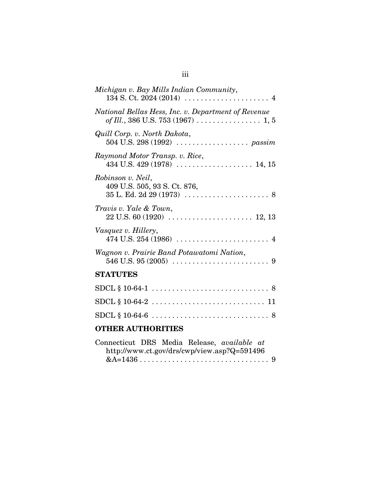| <b>OTHER AUTHORITIES</b>                                                                              |
|-------------------------------------------------------------------------------------------------------|
|                                                                                                       |
|                                                                                                       |
| $SDCL \S 10-64-1 \ldots \ldots \ldots \ldots \ldots \ldots \ldots \ldots \ldots \ldots \ldots \ldots$ |
| <b>STATUTES</b>                                                                                       |
| Wagnon v. Prairie Band Potawatomi Nation,                                                             |
| Vasquez v. Hillery,                                                                                   |
| Travis v. Yale & Town,                                                                                |
| Robinson v. Neil,<br>409 U.S. 505, 93 S. Ct. 876,                                                     |
| Raymond Motor Transp. v. Rice,                                                                        |
| Quill Corp. v. North Dakota,                                                                          |
| National Bellas Hess, Inc. v. Department of Revenue                                                   |
| Michigan v. Bay Mills Indian Community,                                                               |

| Connecticut DRS Media Release, available at |  |                                             |  |
|---------------------------------------------|--|---------------------------------------------|--|
|                                             |  | http://www.ct.gov/drs/cwp/view.asp?Q=591496 |  |
|                                             |  |                                             |  |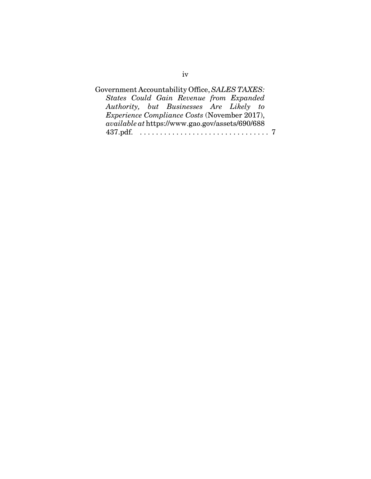| Government Accountability Office, SALES TAXES:         |  |
|--------------------------------------------------------|--|
| States Could Gain Revenue from Expanded                |  |
| Authority, but Businesses Are Likely to                |  |
| <i>Experience Compliance Costs</i> (November 2017),    |  |
| <i>available at https://www.gao.gov/assets/690/688</i> |  |
|                                                        |  |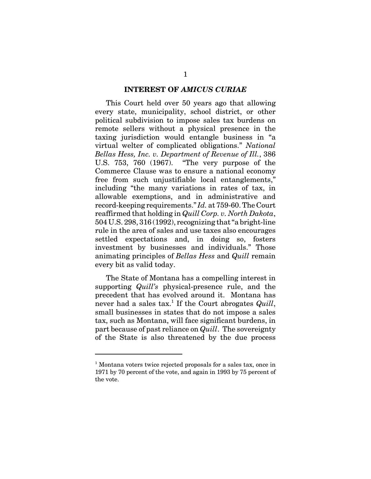#### **INTEREST OF** *AMICUS CURIAE*

This Court held over 50 years ago that allowing every state, municipality, school district, or other political subdivision to impose sales tax burdens on remote sellers without a physical presence in the taxing jurisdiction would entangle business in "a virtual welter of complicated obligations." *National Bellas Hess, Inc. v. Department of Revenue of Ill.*, 386 U.S. 753, 760 (1967). "The very purpose of the Commerce Clause was to ensure a national economy free from such unjustifiable local entanglements," including "the many variations in rates of tax, in allowable exemptions, and in administrative and record-keeping requirements." *Id.* at 759-60. The Court reaffirmed that holding in *Quill Corp. v. North Dakota*, 504 U.S. 298, 316 (1992), recognizing that "a bright-line rule in the area of sales and use taxes also encourages settled expectations and, in doing so, fosters investment by businesses and individuals." Those animating principles of *Bellas Hess* and *Quill* remain every bit as valid today.

The State of Montana has a compelling interest in supporting *Quill's* physical-presence rule, and the precedent that has evolved around it. Montana has never had a sales tax.1 If the Court abrogates *Quill*, small businesses in states that do not impose a sales tax, such as Montana, will face significant burdens, in part because of past reliance on *Quill*. The sovereignty of the State is also threatened by the due process

<sup>&</sup>lt;sup>1</sup> Montana voters twice rejected proposals for a sales tax, once in 1971 by 70 percent of the vote, and again in 1993 by 75 percent of the vote.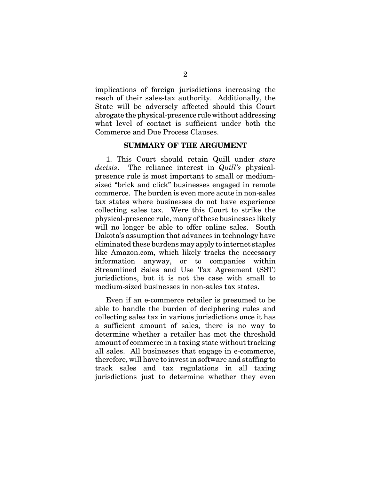implications of foreign jurisdictions increasing the reach of their sales-tax authority. Additionally, the State will be adversely affected should this Court abrogate the physical-presence rule without addressing what level of contact is sufficient under both the Commerce and Due Process Clauses.

#### **SUMMARY OF THE ARGUMENT**

1. This Court should retain Quill under *stare decisis*. The reliance interest in *Quill's* physicalpresence rule is most important to small or mediumsized "brick and click" businesses engaged in remote commerce. The burden is even more acute in non-sales tax states where businesses do not have experience collecting sales tax. Were this Court to strike the physical-presence rule, many of these businesses likely will no longer be able to offer online sales. South Dakota's assumption that advances in technology have eliminated these burdens may apply to internet staples like Amazon.com, which likely tracks the necessary information anyway, or to companies within Streamlined Sales and Use Tax Agreement (SST) jurisdictions, but it is not the case with small to medium-sized businesses in non-sales tax states.

Even if an e-commerce retailer is presumed to be able to handle the burden of deciphering rules and collecting sales tax in various jurisdictions once it has a sufficient amount of sales, there is no way to determine whether a retailer has met the threshold amount of commerce in a taxing state without tracking all sales. All businesses that engage in e-commerce, therefore, will have to invest in software and staffing to track sales and tax regulations in all taxing jurisdictions just to determine whether they even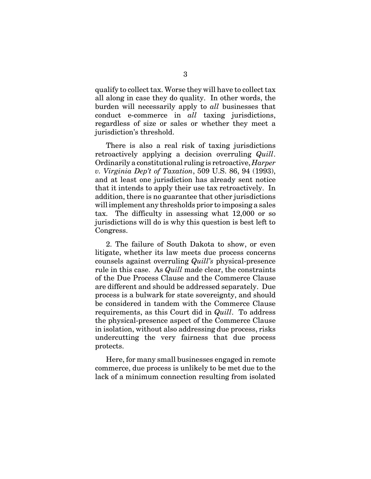qualify to collect tax. Worse they will have to collect tax all along in case they do quality. In other words, the burden will necessarily apply to *all* businesses that conduct e-commerce in *all* taxing jurisdictions, regardless of size or sales or whether they meet a jurisdiction's threshold.

There is also a real risk of taxing jurisdictions retroactively applying a decision overruling *Quill*. Ordinarily a constitutional ruling is retroactive, *Harper v. Virginia Dep't of Taxation*, 509 U.S. 86, 94 (1993), and at least one jurisdiction has already sent notice that it intends to apply their use tax retroactively. In addition, there is no guarantee that other jurisdictions will implement any thresholds prior to imposing a sales tax. The difficulty in assessing what 12,000 or so jurisdictions will do is why this question is best left to Congress.

2. The failure of South Dakota to show, or even litigate, whether its law meets due process concerns counsels against overruling *Quill's* physical-presence rule in this case. As *Quill* made clear, the constraints of the Due Process Clause and the Commerce Clause are different and should be addressed separately. Due process is a bulwark for state sovereignty, and should be considered in tandem with the Commerce Clause requirements, as this Court did in *Quill*. To address the physical-presence aspect of the Commerce Clause in isolation, without also addressing due process, risks undercutting the very fairness that due process protects.

Here, for many small businesses engaged in remote commerce, due process is unlikely to be met due to the lack of a minimum connection resulting from isolated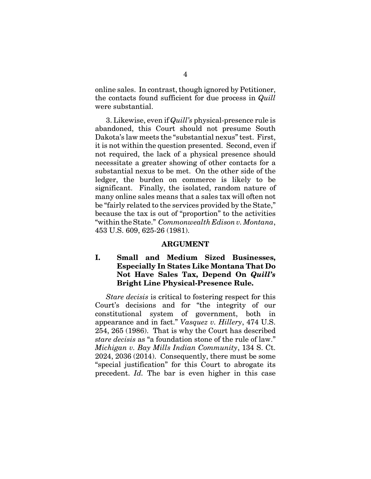online sales. In contrast, though ignored by Petitioner, the contacts found sufficient for due process in *Quill* were substantial.

3. Likewise, even if *Quill's* physical-presence rule is abandoned, this Court should not presume South Dakota's law meets the "substantial nexus" test. First, it is not within the question presented. Second, even if not required, the lack of a physical presence should necessitate a greater showing of other contacts for a substantial nexus to be met. On the other side of the ledger, the burden on commerce is likely to be significant. Finally, the isolated, random nature of many online sales means that a sales tax will often not be "fairly related to the services provided by the State," because the tax is out of "proportion" to the activities "within the State." *Commonwealth Edison v. Montana*, 453 U.S. 609, 625-26 (1981).

#### **ARGUMENT**

## **I. Small and Medium Sized Businesses, Especially In States Like Montana That Do Not Have Sales Tax, Depend On** *Quill's* **Bright Line Physical-Presence Rule.**

*Stare decisis* is critical to fostering respect for this Court's decisions and for "the integrity of our constitutional system of government, both in appearance and in fact." *Vasquez v. Hillery*, 474 U.S. 254, 265 (1986). That is why the Court has described *stare decisis* as "a foundation stone of the rule of law." *Michigan v. Bay Mills Indian Community*, 134 S. Ct. 2024, 2036 (2014). Consequently, there must be some "special justification" for this Court to abrogate its precedent. *Id.* The bar is even higher in this case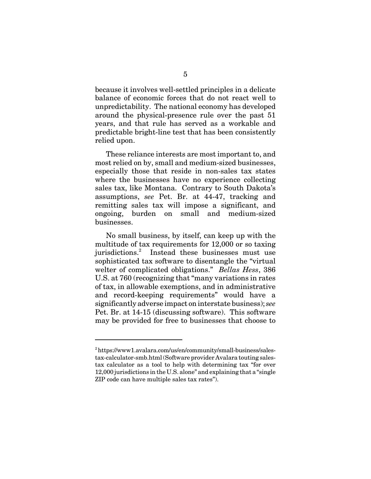because it involves well-settled principles in a delicate balance of economic forces that do not react well to unpredictability. The national economy has developed around the physical-presence rule over the past 51 years, and that rule has served as a workable and predictable bright-line test that has been consistently relied upon.

These reliance interests are most important to, and most relied on by, small and medium-sized businesses, especially those that reside in non-sales tax states where the businesses have no experience collecting sales tax, like Montana. Contrary to South Dakota's assumptions, *see* Pet. Br. at 44-47, tracking and remitting sales tax will impose a significant, and ongoing, burden on small and medium-sized businesses.

No small business, by itself, can keep up with the multitude of tax requirements for 12,000 or so taxing jurisdictions.2 Instead these businesses must use sophisticated tax software to disentangle the "virtual welter of complicated obligations." *Bellas Hess*, 386 U.S. at 760 (recognizing that "many variations in rates of tax, in allowable exemptions, and in administrative and record-keeping requirements" would have a significantly adverse impact on interstate business); *see* Pet. Br. at 14-15 (discussing software). This software may be provided for free to businesses that choose to

 $^{2}$ https://www1.avalara.com/us/en/community/small-business/salestax-calculator-smb.html (Software provider Avalara touting salestax calculator as a tool to help with determining tax "for over 12,000 jurisdictions in the U.S. alone" and explaining that a "single ZIP code can have multiple sales tax rates").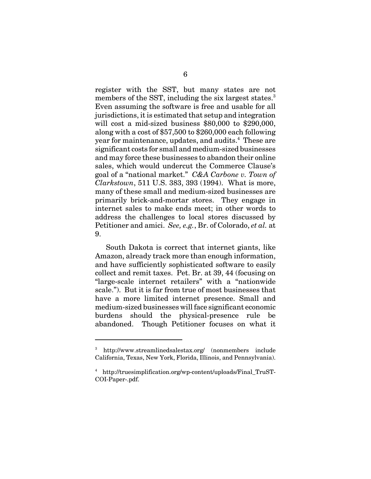register with the SST, but many states are not members of the SST, including the six largest states.<sup>3</sup> Even assuming the software is free and usable for all jurisdictions, it is estimated that setup and integration will cost a mid-sized business \$80,000 to \$290,000, along with a cost of \$57,500 to \$260,000 each following year for maintenance, updates, and audits.<sup>4</sup> These are significant costs for small and medium-sized businesses and may force these businesses to abandon their online sales, which would undercut the Commerce Clause's goal of a "national market." *C&A Carbone v. Town of Clarkstown*, 511 U.S. 383, 393 (1994). What is more, many of these small and medium-sized businesses are primarily brick-and-mortar stores. They engage in internet sales to make ends meet; in other words to address the challenges to local stores discussed by Petitioner and amici. *See, e.g.*, Br. of Colorado, *et al.* at 9.

South Dakota is correct that internet giants, like Amazon, already track more than enough information, and have sufficiently sophisticated software to easily collect and remit taxes. Pet. Br. at 39, 44 (focusing on "large-scale internet retailers" with a "nationwide scale."). But it is far from true of most businesses that have a more limited internet presence. Small and medium-sized businesses will face significant economic burdens should the physical-presence rule be abandoned. Though Petitioner focuses on what it

<sup>3</sup> http://www.streamlinedsalestax.org/ (nonmembers include California, Texas, New York, Florida, Illinois, and Pennsylvania).

<sup>4</sup> http://truesimplification.org/wp-content/uploads/Final\_TruST-COI-Paper-.pdf.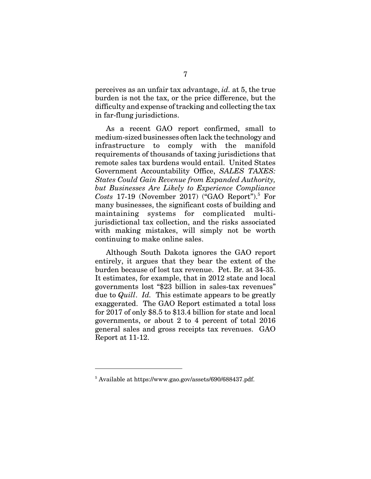perceives as an unfair tax advantage, *id.* at 5, the true burden is not the tax, or the price difference, but the difficulty and expense of tracking and collecting the tax in far-flung jurisdictions.

As a recent GAO report confirmed, small to medium-sized businesses often lack the technology and infrastructure to comply with the manifold requirements of thousands of taxing jurisdictions that remote sales tax burdens would entail. United States Government Accountability Office, *SALES TAXES: States Could Gain Revenue from Expanded Authority, but Businesses Are Likely to Experience Compliance*  $Costs$  17-19 (November 2017) ("GAO Report").<sup>5</sup> For many businesses, the significant costs of building and maintaining systems for complicated multijurisdictional tax collection, and the risks associated with making mistakes, will simply not be worth continuing to make online sales.

Although South Dakota ignores the GAO report entirely, it argues that they bear the extent of the burden because of lost tax revenue. Pet. Br. at 34-35. It estimates, for example, that in 2012 state and local governments lost "\$23 billion in sales-tax revenues" due to *Quill*. *Id.* This estimate appears to be greatly exaggerated. The GAO Report estimated a total loss for 2017 of only \$8.5 to \$13.4 billion for state and local governments, or about 2 to 4 percent of total 2016 general sales and gross receipts tax revenues. GAO Report at 11-12.

<sup>&</sup>lt;sup>5</sup> Available at https://www.gao.gov/assets/690/688437.pdf.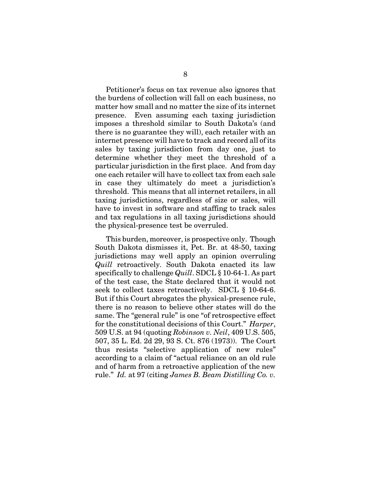Petitioner's focus on tax revenue also ignores that the burdens of collection will fall on each business, no matter how small and no matter the size of its internet presence. Even assuming each taxing jurisdiction imposes a threshold similar to South Dakota's (and there is no guarantee they will), each retailer with an internet presence will have to track and record all of its sales by taxing jurisdiction from day one, just to determine whether they meet the threshold of a particular jurisdiction in the first place. And from day one each retailer will have to collect tax from each sale in case they ultimately do meet a jurisdiction's threshold. This means that all internet retailers, in all taxing jurisdictions, regardless of size or sales, will have to invest in software and staffing to track sales and tax regulations in all taxing jurisdictions should the physical-presence test be overruled.

This burden, moreover, is prospective only. Though South Dakota dismisses it, Pet. Br. at 48-50, taxing jurisdictions may well apply an opinion overruling *Quill* retroactively. South Dakota enacted its law specifically to challenge *Quill*. SDCL § 10-64-1. As part of the test case, the State declared that it would not seek to collect taxes retroactively. SDCL § 10-64-6. But if this Court abrogates the physical-presence rule, there is no reason to believe other states will do the same. The "general rule" is one "of retrospective effect for the constitutional decisions of this Court." *Harper*, 509 U.S. at 94 (quoting *Robinson v. Neil*, 409 U.S. 505, 507, 35 L. Ed. 2d 29, 93 S. Ct. 876 (1973)). The Court thus resists "selective application of new rules" according to a claim of "actual reliance on an old rule and of harm from a retroactive application of the new rule." *Id.* at 97 (citing *James B. Beam Distilling Co. v.*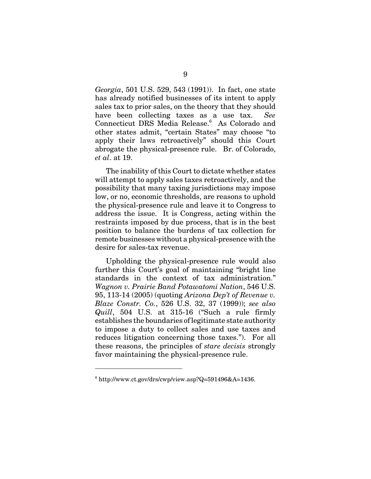*Georgia*, 501 U.S. 529, 543 (1991)). In fact, one state has already notified businesses of its intent to apply sales tax to prior sales, on the theory that they should have been collecting taxes as a use tax. *See* Connecticut DRS Media Release.<sup>6</sup> As Colorado and other states admit, "certain States" may choose "to apply their laws retroactively" should this Court abrogate the physical-presence rule. Br. of Colorado, *et al*. at 19.

The inability of this Court to dictate whether states will attempt to apply sales taxes retroactively, and the possibility that many taxing jurisdictions may impose low, or no, economic thresholds, are reasons to uphold the physical-presence rule and leave it to Congress to address the issue. It is Congress, acting within the restraints imposed by due process, that is in the best position to balance the burdens of tax collection for remote businesses without a physical-presence with the desire for sales-tax revenue.

Upholding the physical-presence rule would also further this Court's goal of maintaining "bright line standards in the context of tax administration." *Wagnon v. Prairie Band Potawatomi Nation*, 546 U.S. 95, 113-14 (2005) (quoting *Arizona Dep't of Revenue v. Blaze Constr. Co.*, 526 U.S. 32, 37 (1999)); *see also Quill*, 504 U.S. at 315-16 ("Such a rule firmly establishes the boundaries of legitimate state authority to impose a duty to collect sales and use taxes and reduces litigation concerning those taxes."). For all these reasons, the principles of *stare decisis* strongly favor maintaining the physical-presence rule.

 $6$  http://www.ct.gov/drs/cwp/view.asp?Q=591496&A=1436.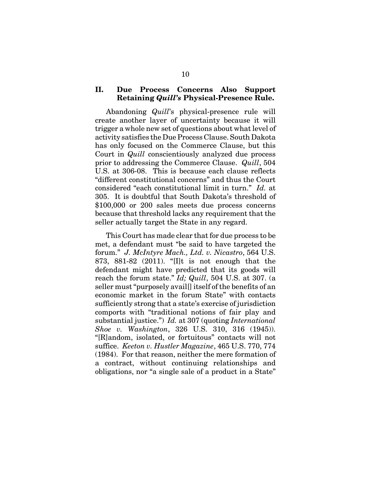### **II. Due Process Concerns Also Support Retaining** *Quill's* **Physical-Presence Rule.**

Abandoning *Quill*'s physical-presence rule will create another layer of uncertainty because it will trigger a whole new set of questions about what level of activity satisfies the Due Process Clause. South Dakota has only focused on the Commerce Clause, but this Court in *Quill* conscientiously analyzed due process prior to addressing the Commerce Clause. *Quill*, 504 U.S. at 306-08. This is because each clause reflects "different constitutional concerns" and thus the Court considered "each constitutional limit in turn." *Id.* at 305. It is doubtful that South Dakota's threshold of \$100,000 or 200 sales meets due process concerns because that threshold lacks any requirement that the seller actually target the State in any regard.

This Court has made clear that for due process to be met, a defendant must "be said to have targeted the forum." *J. McIntyre Mach., Ltd. v. Nicastro*, 564 U.S. 873, 881-82 (2011). "[I]t is not enough that the defendant might have predicted that its goods will reach the forum state." *Id; Quill*, 504 U.S. at 307. (a seller must "purposely avail[] itself of the benefits of an economic market in the forum State" with contacts sufficiently strong that a state's exercise of jurisdiction comports with "traditional notions of fair play and substantial justice.") *Id.* at 307 (quoting *International Shoe v. Washington*, 326 U.S. 310, 316 (1945)). "[R]andom, isolated, or fortuitous" contacts will not suffice. *Keeton v. Hustler Magazine*, 465 U.S. 770, 774 (1984). For that reason, neither the mere formation of a contract, without continuing relationships and obligations, nor "a single sale of a product in a State"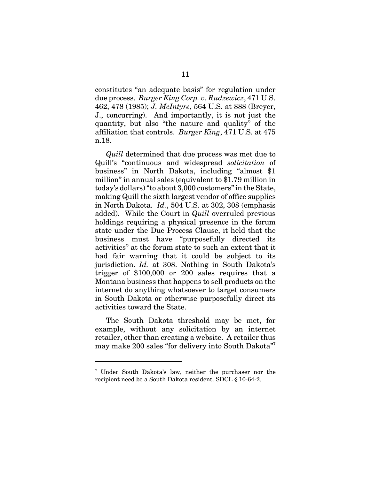constitutes "an adequate basis" for regulation under due process. *Burger King Corp. v. Rudzewicz*, 471 U.S. 462, 478 (1985); *J. McIntyre*, 564 U.S. at 888 (Breyer, J., concurring). And importantly, it is not just the quantity, but also "the nature and quality" of the affiliation that controls. *Burger King*, 471 U.S. at 475 n.18.

*Quill* determined that due process was met due to Quill's "continuous and widespread *solicitation* of business" in North Dakota, including "almost \$1 million" in annual sales (equivalent to \$1.79 million in today's dollars) "to about 3,000 customers" in the State, making Quill the sixth largest vendor of office supplies in North Dakota. *Id.*, 504 U.S. at 302, 308 (emphasis added). While the Court in *Quill* overruled previous holdings requiring a physical presence in the forum state under the Due Process Clause, it held that the business must have "purposefully directed its activities" at the forum state to such an extent that it had fair warning that it could be subject to its jurisdiction. *Id.* at 308. Nothing in South Dakota's trigger of \$100,000 or 200 sales requires that a Montana business that happens to sell products on the internet do anything whatsoever to target consumers in South Dakota or otherwise purposefully direct its activities toward the State.

The South Dakota threshold may be met, for example, without any solicitation by an internet retailer, other than creating a website. A retailer thus may make 200 sales "for delivery into South Dakota"<sup>7</sup>

<sup>7</sup> Under South Dakota's law, neither the purchaser nor the recipient need be a South Dakota resident. SDCL § 10-64-2.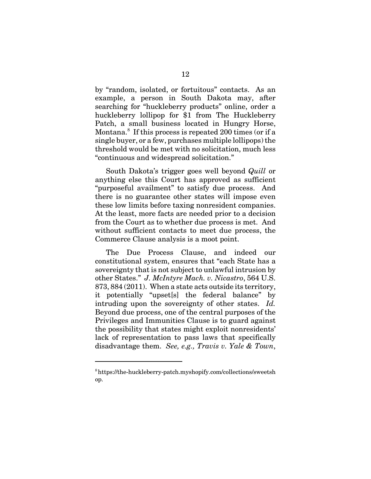by "random, isolated, or fortuitous" contacts. As an example, a person in South Dakota may, after searching for "huckleberry products" online, order a huckleberry lollipop for \$1 from The Huckleberry Patch, a small business located in Hungry Horse, Montana.<sup>8</sup> If this process is repeated 200 times (or if a single buyer, or a few, purchases multiple lollipops) the threshold would be met with no solicitation, much less "continuous and widespread solicitation."

South Dakota's trigger goes well beyond *Quill* or anything else this Court has approved as sufficient "purposeful availment" to satisfy due process. And there is no guarantee other states will impose even these low limits before taxing nonresident companies. At the least, more facts are needed prior to a decision from the Court as to whether due process is met. And without sufficient contacts to meet due process, the Commerce Clause analysis is a moot point.

The Due Process Clause, and indeed our constitutional system, ensures that "each State has a sovereignty that is not subject to unlawful intrusion by other States." *J. McIntyre Mach. v. Nicastro*, 564 U.S. 873, 884 (2011). When a state acts outside its territory, it potentially "upset[s] the federal balance" by intruding upon the sovereignty of other states. *Id.* Beyond due process, one of the central purposes of the Privileges and Immunities Clause is to guard against the possibility that states might exploit nonresidents' lack of representation to pass laws that specifically disadvantage them. *See, e.g., Travis v. Yale & Town*,

<sup>8</sup> https://the-huckleberry-patch.myshopify.com/collections/sweetsh op.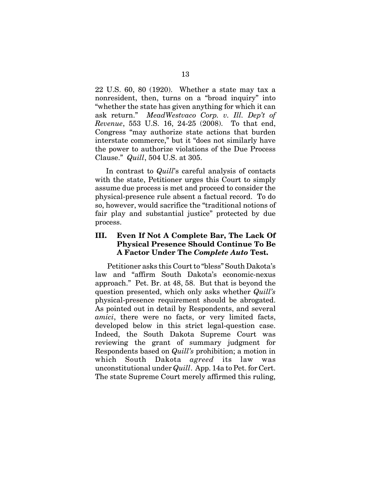22 U.S. 60, 80 (1920). Whether a state may tax a nonresident, then, turns on a "broad inquiry" into "whether the state has given anything for which it can ask return." *MeadWestvaco Corp. v. Ill. Dep't of Revenue*, 553 U.S. 16, 24-25 (2008). To that end, Congress "may authorize state actions that burden interstate commerce," but it "does not similarly have the power to authorize violations of the Due Process Clause." *Quill*, 504 U.S. at 305.

In contrast to *Quill*'s careful analysis of contacts with the state, Petitioner urges this Court to simply assume due process is met and proceed to consider the physical-presence rule absent a factual record. To do so, however, would sacrifice the "traditional notions of fair play and substantial justice" protected by due process.

### **III. Even If Not A Complete Bar, The Lack Of Physical Presence Should Continue To Be A Factor Under The** *Complete Auto* **Test.**

 Petitioner asks this Court to "bless" South Dakota's law and "affirm South Dakota's economic-nexus approach." Pet. Br. at 48, 58. But that is beyond the question presented, which only asks whether *Quill's* physical-presence requirement should be abrogated. As pointed out in detail by Respondents, and several *amici*, there were no facts, or very limited facts, developed below in this strict legal-question case. Indeed, the South Dakota Supreme Court was reviewing the grant of summary judgment for Respondents based on *Quill's* prohibition; a motion in which South Dakota *agreed* its law was unconstitutional under *Quill*. App. 14a to Pet. for Cert. The state Supreme Court merely affirmed this ruling,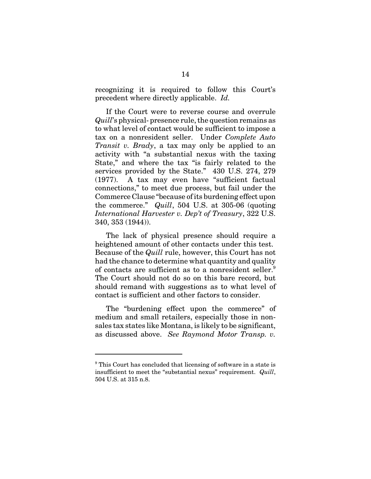recognizing it is required to follow this Court's precedent where directly applicable. *Id.*

If the Court were to reverse course and overrule *Quill*'s physical- presence rule, the question remains as to what level of contact would be sufficient to impose a tax on a nonresident seller. Under *Complete Auto Transit v. Brady*, a tax may only be applied to an activity with "a substantial nexus with the taxing State," and where the tax "is fairly related to the services provided by the State." 430 U.S. 274, 279 (1977). A tax may even have "sufficient factual connections," to meet due process, but fail under the Commerce Clause "because of its burdening effect upon the commerce." *Quill*, 504 U.S. at 305-06 (quoting *International Harvester v. Dep't of Treasury*, 322 U.S. 340, 353 (1944)).

The lack of physical presence should require a heightened amount of other contacts under this test. Because of the *Quill* rule, however, this Court has not had the chance to determine what quantity and quality of contacts are sufficient as to a nonresident seller.<sup>9</sup> The Court should not do so on this bare record, but should remand with suggestions as to what level of contact is sufficient and other factors to consider.

The "burdening effect upon the commerce" of medium and small retailers, especially those in nonsales tax states like Montana, is likely to be significant, as discussed above. *See Raymond Motor Transp. v.*

<sup>&</sup>lt;sup>9</sup> This Court has concluded that licensing of software in a state is insufficient to meet the "substantial nexus" requirement. *Quill*, 504 U.S. at 315 n.8.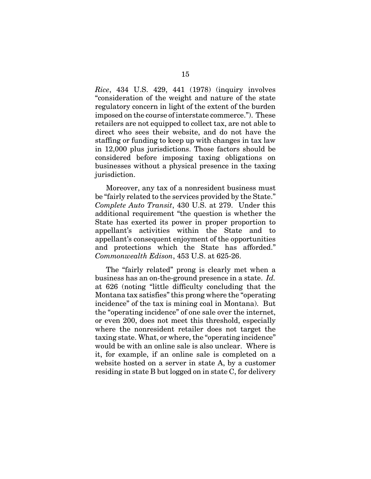*Rice*, 434 U.S. 429, 441 (1978) (inquiry involves "consideration of the weight and nature of the state regulatory concern in light of the extent of the burden imposed on the course of interstate commerce."). These retailers are not equipped to collect tax, are not able to direct who sees their website, and do not have the staffing or funding to keep up with changes in tax law in 12,000 plus jurisdictions. Those factors should be considered before imposing taxing obligations on businesses without a physical presence in the taxing jurisdiction.

Moreover, any tax of a nonresident business must be "fairly related to the services provided by the State." *Complete Auto Transit*, 430 U.S. at 279. Under this additional requirement "the question is whether the State has exerted its power in proper proportion to appellant's activities within the State and to appellant's consequent enjoyment of the opportunities and protections which the State has afforded." *Commonwealth Edison*, 453 U.S. at 625-26.

The "fairly related" prong is clearly met when a business has an on-the-ground presence in a state. *Id.* at 626 (noting "little difficulty concluding that the Montana tax satisfies" this prong where the "operating incidence" of the tax is mining coal in Montana). But the "operating incidence" of one sale over the internet, or even 200, does not meet this threshold, especially where the nonresident retailer does not target the taxing state. What, or where, the "operating incidence" would be with an online sale is also unclear. Where is it, for example, if an online sale is completed on a website hosted on a server in state A, by a customer residing in state B but logged on in state C, for delivery